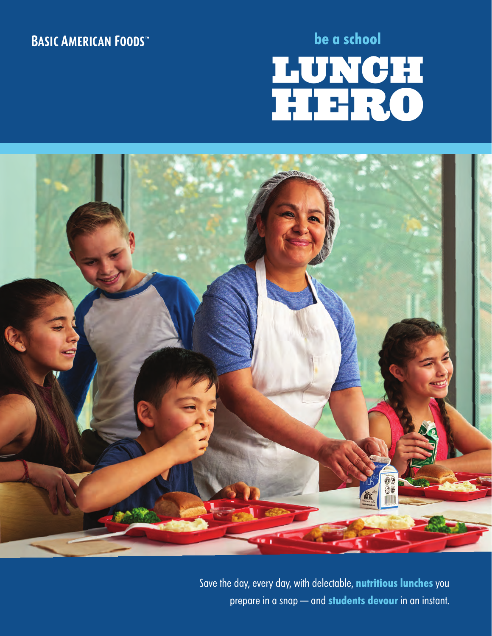## **BASIC AMERICAN FOODS**

# **be a school** LUNCH HERO LUNCH HERO



Save the day, every day, with delectable, **nutritious lunches** you prepare in a snap — and **students devour** in an instant.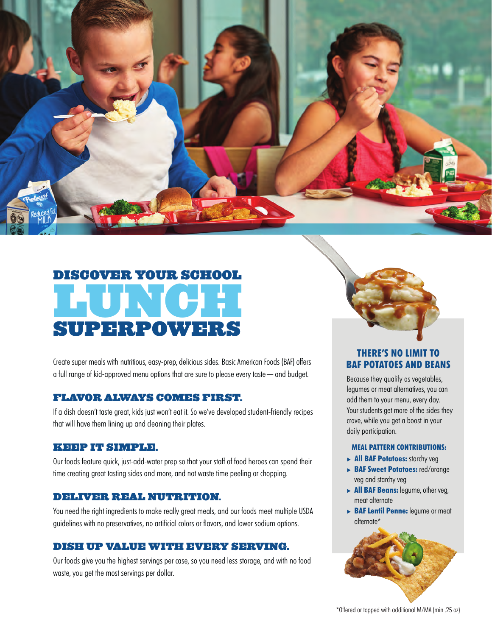

# DISCOVER YOUR SCHOOL LUNCH SUPERPOWERS

Create super meals with nutritious, easy-prep, delicious sides. Basic American Foods (BAF) offers a full range of kid-approved menu options that are sure to please every taste — and budget.

## FLAVOR ALWAYS COMES FIRST.

If a dish doesn't taste great, kids just won't eat it. So we've developed student-friendly recipes that will have them lining up and cleaning their plates.

## KEEP IT SIMPLE.

Our foods feature quick, just-add-water prep so that your staff of food heroes can spend their time creating great tasting sides and more, and not waste time peeling or chopping.

## DELIVER REAL NUTRITION.

You need the right ingredients to make really great meals, and our foods meet multiple USDA guidelines with no preservatives, no artificial colors or flavors, and lower sodium options.

## DISH UP VALUE WITH EVERY SERVING.

Our foods give you the highest servings per case, so you need less storage, and with no food waste, you get the most servings per dollar.



## **THERE'S NO LIMIT TO BAF POTATOES AND BEANS**

Because they qualify as vegetables, legumes or meat alternatives, you can add them to your menu, every day. Your students get more of the sides they crave, while you get a boost in your daily participation.

## **MEAL PATTERN CONTRIBUTIONS:**

- **All BAF Potatoes:** starchy veg
- **BAF Sweet Potatoes:** red/orange veg and starchy veg
- **All BAF Beans:** legume, other veg, meat alternate
- **BAF Lentil Penne:** legume or meat alternate\*

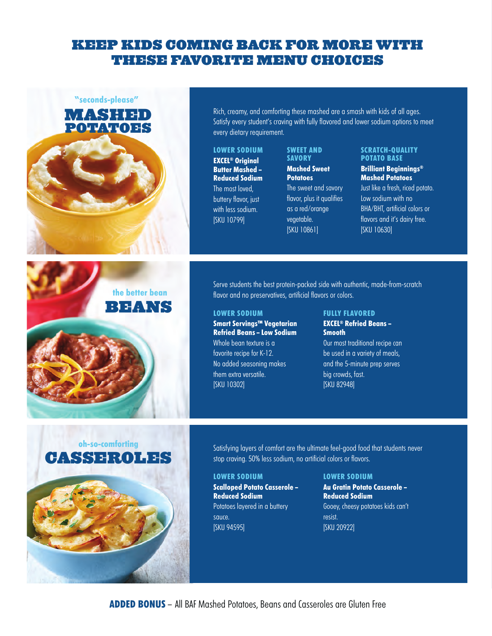## KEEP KIDS COMING BACK FOR MORE WITH THESE FAVORITE MENU CHOICES





Satisfying layers of comfort are the ultimate feel-good food that students never stop craving. 50% less sodium, no artificial colors or flavors.

### **LOWER SODIUM**

**Scalloped Potato Casserole – Reduced Sodium** Potatoes layered in a buttery sauce. [SKU 94595]

#### **LOWER SODIUM**

**Au Gratin Potato Casserole – Reduced Sodium** Gooey, cheesy potatoes kids can't resist. [SKU 20922]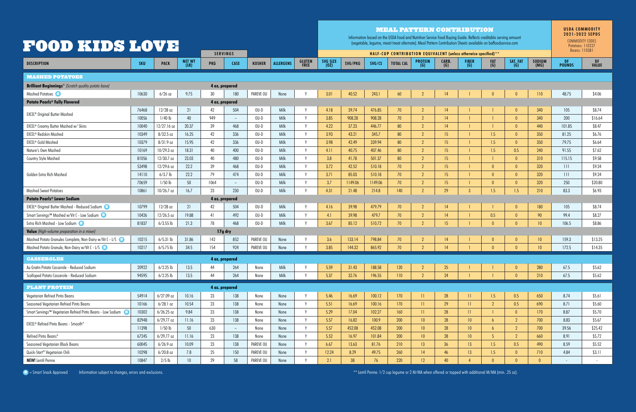| <b>FOOD KIDS LOVE</b><br><b>SERVINGS</b>                              |       |              |                       |                 |                |               | <b>MEAL PATTERN CONTRIBUTION</b><br>Information based on the USDA Food and Nutrition Service Food Buying Guide. Reflects creditable serving amount<br>(vegetable, legume, meat/meat alternate). Meal Pattern Contribution Sheets available on baffoodservice.com<br>HALF-CUP CONTRIBUTION EQUIVALENT (unless otherwise specified) ** |                       |                  |         |         |                  |                         |              |                     | <b>USDA COMMODITY</b><br>2021-2022 SEPDS<br>COMMODITY CODES<br>Potatoes: 110227<br>Beans: 110381 |                 |                 |                      |             |
|-----------------------------------------------------------------------|-------|--------------|-----------------------|-----------------|----------------|---------------|--------------------------------------------------------------------------------------------------------------------------------------------------------------------------------------------------------------------------------------------------------------------------------------------------------------------------------------|-----------------------|------------------|---------|---------|------------------|-------------------------|--------------|---------------------|--------------------------------------------------------------------------------------------------|-----------------|-----------------|----------------------|-------------|
| <b>DESCRIPTION</b>                                                    | SKU   | <b>PACK</b>  | <b>NET WT</b><br>(LB) | <b>PKG</b>      | <b>CASE</b>    | <b>KOSHER</b> | <b>ALLERGENS</b>                                                                                                                                                                                                                                                                                                                     | <b>GLUTEN</b><br>FREE | SVG SIZE<br>(0Z) | SVG/PKG | SVG/CS  | <b>TOTAL CAL</b> | <b>PROTEIN</b><br>(G)   | CARB.<br>(G) | <b>FIBER</b><br>(G) | FAT<br>(G)                                                                                       | SAT. FAT<br>(G) | SODIUM<br>(MG)  | DF.<br><b>POUNDS</b> | DF<br>VALUE |
| <b>MASHED POTATOES</b>                                                |       |              |                       |                 |                |               |                                                                                                                                                                                                                                                                                                                                      |                       |                  |         |         |                  |                         |              |                     |                                                                                                  |                 |                 |                      |             |
| <b>Brilliant Beginnings<sup>®</sup></b> (Scratch quality potato base) |       |              |                       |                 | 4 oz. prepared |               |                                                                                                                                                                                                                                                                                                                                      |                       |                  |         |         |                  |                         |              |                     |                                                                                                  |                 |                 |                      |             |
| Mashed Potatoes                                                       | 10630 | $6/26$ oz    | 9.75                  | 30 <sup>°</sup> | 180            | PAREVE OU     | None                                                                                                                                                                                                                                                                                                                                 |                       | 3.01             | 40.52   | 243.1   | 60               | ി                       |              |                     |                                                                                                  |                 | 110             | 48.75                | \$4.06      |
| <b>Potato Pearls® Fully Flavored</b><br>4 oz. prepared                |       |              |                       |                 |                |               |                                                                                                                                                                                                                                                                                                                                      |                       |                  |         |         |                  |                         |              |                     |                                                                                                  |                 |                 |                      |             |
| <b>EXCEL<sup>®</sup></b> Original Butter Mashed                       | 76468 | 12/28 oz     | 21                    | 42              | 504            | $OU-D$        | Milk                                                                                                                                                                                                                                                                                                                                 |                       | 4.18             | 39.74   | 476.85  | 70               | $\mathcal{D}$           | 4            |                     |                                                                                                  | $\Omega$        | 340             | 105                  | \$8.74      |
|                                                                       | 10056 | $1/40$ lb    | 40                    | 949             | $ \,$          | $OU-D$        | Milk                                                                                                                                                                                                                                                                                                                                 | $\mathsf{v}$          | 3.85             | 908.28  | 908.28  | 70               | $\overline{2}$          | 4            |                     |                                                                                                  | $\Omega$        | 340             | 200                  | \$16.64     |
| <b>EXCEL<sup>®</sup></b> Creamy Butter Mashed w/ Skins                | 10040 | 12/27.16 oz  | 20.37                 | 39              | 468            | $OU-D$        | Milk                                                                                                                                                                                                                                                                                                                                 | $\mathsf{v}$          | 4.22             | 37.23   | 446.77  | 80               | $\overline{2}$          | 4            |                     |                                                                                                  | $\Omega$        | 440             | 101.85               | \$8.47      |
| <b>EXCEL<sup>®</sup> Redskin Mashed</b>                               | 10349 | $8/32.5$ oz  | 16.25                 | 42              | 336            | $OU-D$        | Milk                                                                                                                                                                                                                                                                                                                                 | <b>V</b>              | 3.93             | 43.21   | 345.7   | 80               | $\overline{2}$          | 15           |                     | 1.5                                                                                              | $\Omega$        | 350             | 81.25                | \$6.76      |
| EXCEL® Gold Mashed                                                    | 10379 | 8/31.9 oz    | 15.95                 | 42              | 336            | $OU-D$        | <b>Milk</b>                                                                                                                                                                                                                                                                                                                          | $\mathsf{v}$          | 3.98             | 42.49   | 339.94  | 80               | $\gamma$                | 15           |                     | 1.5                                                                                              | $\Omega$        | 350             | 79.75                | \$6.64      |
| Nature's Own Mashed                                                   | 10169 | 10/29.3 oz   | 18.31                 | 40              | 400            | $OU-D$        | Milk                                                                                                                                                                                                                                                                                                                                 | $\mathbf{V}$          | 4.11             | 40.75   | 407.46  | 80               | ່າ                      | 15           |                     | 1.5                                                                                              | 0.5             | 240             | 91.55                | \$7.62      |
| Country Style Mashed                                                  | 81056 | 12/30.7 oz   | 23.03                 | 40              | 480            | $OU-D$        | Milk                                                                                                                                                                                                                                                                                                                                 |                       | 3.8              | 41.78   | 501.37  | 80               | $\overline{2}$          | 15           |                     |                                                                                                  | $\Omega$        | 310             | 115.15               | \$9.58      |
| Golden Extra Rich Mashed                                              | 53498 | 12/29.6 oz   | 22.2                  | 39              | 468            | $OU-D$        | Milk                                                                                                                                                                                                                                                                                                                                 | $\mathsf{V}$          | 3.72             | 42.52   | 510.18  | 70               | $\overline{2}$          | 15           |                     | $\bigcap$                                                                                        | $\Omega$        | 320             | 111                  | \$9.24      |
|                                                                       | 14110 | $6/3.7$ lb   | 22.2                  | 79              | 474            | $0U-D$        | Milk                                                                                                                                                                                                                                                                                                                                 | $\mathsf{v}$          | 3.71             | 85.03   | 510.18  | 70               | $\overline{2}$          | 15           |                     |                                                                                                  | $\Omega$        | 320             | 111                  | \$9.24      |
|                                                                       | 70659 | $1/50$ lb    | 50                    | 1064            | $-$            | $OU-D$        | Milk                                                                                                                                                                                                                                                                                                                                 |                       | 3.7              | 1149.06 | 1149.06 | 70               | $\mathcal{P}$           | 15           |                     |                                                                                                  | $\Omega$        | 320             | 250                  | \$20.80     |
| <b>Mashed Sweet Potatoes</b>                                          | 10861 | 10/26.7 oz   | 16.7                  | 23              | 230            | $0U-D$        | Milk                                                                                                                                                                                                                                                                                                                                 |                       | 4.31             | 21.48   | 214.8   | 140              | $\eta$                  | 29           | $\overline{3}$      | 1.5                                                                                              | 1.5             | 210             | 83.3                 | \$6.93      |
| <b>Potato Pearls® Lower Sodium</b><br>4 oz. prepared                  |       |              |                       |                 |                |               |                                                                                                                                                                                                                                                                                                                                      |                       |                  |         |         |                  |                         |              |                     |                                                                                                  |                 |                 |                      |             |
| <b>EXCEL<sup>®</sup> Original Butter Mashed - Reduced Sodium</b>      | 10799 | 12/28 oz     | 21                    | 42              | 504            | $OU-D$        | Milk                                                                                                                                                                                                                                                                                                                                 |                       | 4.16             | 39.98   | 479.79  | 70               | $\mathcal{D}$           | 4            |                     |                                                                                                  | $\Omega$        | 180             | 105                  | \$8.74      |
| Smart Servings™ Mashed w/Vit C - Low Sodium                           | 10426 | 12/26.5 oz   | 19.88                 | 41              | 492            | $0U-D$        | Milk                                                                                                                                                                                                                                                                                                                                 | $\mathbf{v}$          | 4.1              | 39.98   | 479.7   | 70               | $\overline{2}$          | 14           |                     | 0.5                                                                                              | $\Omega$        | 90              | 99.4                 | \$8.27      |
| Extra Rich Mashed - Low Sodium                                        | 81837 | $6/3.55$ lb  | 21.3                  | 78              | 468            | $OU-D$        | Milk                                                                                                                                                                                                                                                                                                                                 | $\mathsf{V}$          | 3.67             | 85.12   | 510.72  | 70               | $\mathcal{D}$           | 15           |                     | $\Omega$                                                                                         | $\bigcap$       | 10 <sup>°</sup> | 106.5                | \$8.86      |
| Value (High-volume preparation in a mixer)<br>17g dry                 |       |              |                       |                 |                |               |                                                                                                                                                                                                                                                                                                                                      |                       |                  |         |         |                  |                         |              |                     |                                                                                                  |                 |                 |                      |             |
| Mashed Potato Granules Complete, Non-Dairy w/Vit C - L/S              | 10215 | $6/5.31$ lb  | 31.86                 | 142             | 852            | PAREVE OU     | None                                                                                                                                                                                                                                                                                                                                 |                       | 3.6              | 133.14  | 798.84  | 70               | $\overline{2}$          | 14           |                     | $\bigcap$                                                                                        | $\Omega$        | 10              | 159.3                | \$13.25     |
| Mashed Potato Granule, Non-Dairy w/Vit C - L/S                        | 10217 | $6/5.75$ lb  | 34.5                  | 154             | 924            | PAREVE OU     | None                                                                                                                                                                                                                                                                                                                                 |                       | 3.85             | 144.32  | 865.92  | 70               | $\mathcal{D}$           | 4            |                     | $\overline{0}$                                                                                   | $\Omega$        | 10 <sup>°</sup> | 172.5                | \$14.35     |
| <b>CASSEROLES</b><br>4 oz. prepared                                   |       |              |                       |                 |                |               |                                                                                                                                                                                                                                                                                                                                      |                       |                  |         |         |                  |                         |              |                     |                                                                                                  |                 |                 |                      |             |
| Au Gratin Potato Casserole - Reduced Sodium                           | 20922 | $6/2.25$ lb  | 13.5                  | 44              | 264            | None          | Milk                                                                                                                                                                                                                                                                                                                                 |                       | 5.59             | 31.43   | 188.58  | 120              | $\overline{2}$          | 25           |                     |                                                                                                  | $\Omega$        | 280             | 67.5                 | \$5.62      |
| Scalloped Potato Casserole - Reduced Sodium                           | 94595 | $6/2.25$ lb  | 13.5                  | 44              | 264            | None          | Milk                                                                                                                                                                                                                                                                                                                                 |                       | 5.37             | 32.76   | 196.55  | 110              | $\overline{2}$          | 24           |                     |                                                                                                  | $\Omega$        | 210             | 67.5                 | \$5.62      |
| <b>PLANT PROTEIN</b>                                                  |       |              |                       |                 | 4 oz. prepared |               |                                                                                                                                                                                                                                                                                                                                      |                       |                  |         |         |                  |                         |              |                     |                                                                                                  |                 |                 |                      |             |
| Vegetarian Refried Pinto Beans                                        | 54914 | $6/27.09$ oz | 10.16                 | 23              | 138            | None          | None                                                                                                                                                                                                                                                                                                                                 |                       | 5.46             | 16.69   | 100.12  | 170              | $\overline{\mathbf{H}}$ | 28           | $\mathbf{H}$        | 1.5                                                                                              | 0.5             | 650             | 8.74                 | \$5.61      |
| Seasoned Vegetarian Refried Pinto Beans                               | 10166 | $6/28.1$ oz  | 10.54                 | 23              | 138            | None          | None                                                                                                                                                                                                                                                                                                                                 | $\mathsf{v}$          | 5.51             | 16.69   | 100.16  | 170              | $\vert \vert \vert$     | 29           | $\overline{11}$     | $\gamma$                                                                                         | 0.5             | 690             | 8.71                 | \$5.60      |
| Smart Servings™ Vegetarian Refried Pinto Beans - Low Sodium           | 10302 | $6/26.25$ oz | 9.84                  | 23              | 138            | None          | None                                                                                                                                                                                                                                                                                                                                 | V                     | 5.29             | 17.04   | 102.27  | 160              | 1                       | 28           | 1                   |                                                                                                  | $\theta$        | 170             | 8.87                 | \$5.70      |
| EXCEL <sup>®</sup> Refried Pinto Beans - Smooth*                      | 82948 | $6/29.77$ oz | 11.16                 | 23              | 138            | None          | None                                                                                                                                                                                                                                                                                                                                 | V                     | 5.57             | 16.82   | 100.9   | 200              | 10 <sup>°</sup>         | 28           | 10                  | $\sqrt{6}$                                                                                       | $\mathcal{D}$   | 700             | 8.83                 | \$5.67      |
|                                                                       | 11398 | $1/50$ lb    | 50                    | 630             | $\sim$         | None          | None                                                                                                                                                                                                                                                                                                                                 |                       | 5.57             | 452.08  | 452.08  | 200              | 10                      | 28           | 10                  | $\overline{6}$                                                                                   | $\overline{2}$  | 700             | 39.56                | \$25.42     |
| Refried Pinto Beans*                                                  | 67245 | $6/29.77$ oz | 11.16                 | 23              | 138            | None          | None                                                                                                                                                                                                                                                                                                                                 | V                     | 5.52             | 16.97   | 101.84  | 200              | 10                      | 28           | 10                  | $\overline{5}$                                                                                   | $\overline{2}$  | 660             | 8.91                 | \$5.72      |
| Seasoned Vegetarian Black Beans                                       | 60045 | $6/26.9$ oz  | 10.09                 | 23              | 138            | PAREVE OU     | None                                                                                                                                                                                                                                                                                                                                 | V                     | 6.67             | 13.63   | 81.76   | 210              | 13                      | 36           | 13                  | 1.5                                                                                              | 0.5             | 490             | 8.59                 | \$5.52      |
| Quick-Start <sup>®</sup> Vegetarian Chili                             | 10298 | $6/20.8$ oz  | 7.8                   | 25              | 150            | PAREVE OU     | None                                                                                                                                                                                                                                                                                                                                 | $\mathsf{V}$          | 12.24            | 8.29    | 49.75   | 260              | 4                       | 46           | 13                  | 1.5                                                                                              | $\theta$        | 710             | 4.84                 | \$3.11      |
| <b>NEW!</b> Lentil Penne                                              | 10847 | $2/5$ lb     | $10-10$               | 29              | 58             | PAREVE OU     | None                                                                                                                                                                                                                                                                                                                                 | $\mathsf{v}$          | 2.1              | 38      | 76      | 220              | 12                      | 40           |                     | $\theta$                                                                                         | $\Omega$        | $\mathbf{0}$    | $\sim$               | $\sim$      |

S = Smart Snack Approved Information subject to changes, errors and exclusions. The state of exclusions and exclusions. The state of the state of the state of the state of the state of the state of the state of the state o